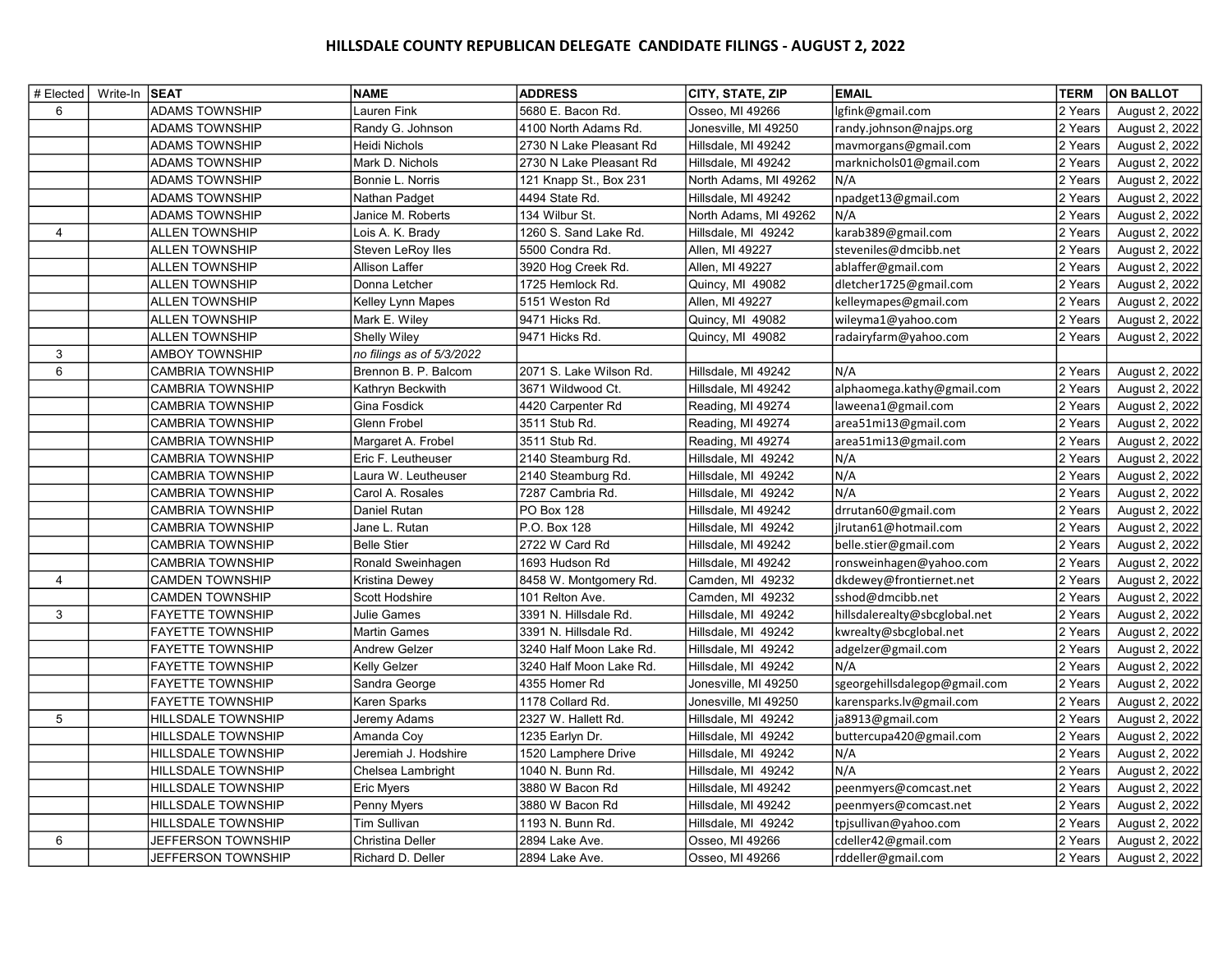## HILLSDALE COUNTY REPUBLICAN DELEGATE CANDIDATE FILINGS - AUGUST 2, 2022

| # Elected   Write-In SEAT |                           | <b>NAME</b>               | <b>ADDRESS</b>          | CITY, STATE, ZIP      | <b>EMAIL</b>                  | <b>TERM</b> | <b>ON BALLOT</b> |
|---------------------------|---------------------------|---------------------------|-------------------------|-----------------------|-------------------------------|-------------|------------------|
| 6                         | <b>ADAMS TOWNSHIP</b>     | Lauren Fink               | 5680 E. Bacon Rd.       | Osseo, MI 49266       | lgfink@gmail.com              | 2 Years     | August 2, 2022   |
|                           | <b>ADAMS TOWNSHIP</b>     | Randy G. Johnson          | 4100 North Adams Rd.    | Jonesville, MI 49250  | randy.johnson@najps.org       | 2 Years     | August 2, 2022   |
|                           | <b>ADAMS TOWNSHIP</b>     | Heidi Nichols             | 2730 N Lake Pleasant Rd | Hillsdale, MI 49242   | mavmorgans@gmail.com          | 2 Years     | August 2, 2022   |
|                           | <b>ADAMS TOWNSHIP</b>     | Mark D. Nichols           | 2730 N Lake Pleasant Rd | Hillsdale, MI 49242   | marknichols01@gmail.com       | 2 Years     | August 2, 2022   |
|                           | <b>ADAMS TOWNSHIP</b>     | Bonnie L. Norris          | 121 Knapp St., Box 231  | North Adams, MI 49262 | N/A                           | 2 Years     | August 2, 2022   |
|                           | <b>ADAMS TOWNSHIP</b>     | Nathan Padget             | 4494 State Rd.          | Hillsdale, MI 49242   | npadget13@gmail.com           | 2 Years     | August 2, 2022   |
|                           | <b>ADAMS TOWNSHIP</b>     | Janice M. Roberts         | 134 Wilbur St.          | North Adams, MI 49262 | N/A                           | 2 Years     | August 2, 2022   |
| 4                         | <b>ALLEN TOWNSHIP</b>     | Lois A. K. Brady          | 1260 S. Sand Lake Rd.   | Hillsdale, MI 49242   | karab389@gmail.com            | 2 Years     | August 2, 2022   |
|                           | <b>ALLEN TOWNSHIP</b>     | Steven LeRoy lles         | 5500 Condra Rd.         | Allen, MI 49227       | steveniles@dmcibb.net         | 2 Years     | August 2, 2022   |
|                           | <b>ALLEN TOWNSHIP</b>     | Allison Laffer            | 3920 Hog Creek Rd.      | Allen, MI 49227       | ablaffer@gmail.com            | 2 Years     | August 2, 2022   |
|                           | <b>ALLEN TOWNSHIP</b>     | Donna Letcher             | 1725 Hemlock Rd.        | Quincy, MI 49082      | dletcher1725@gmail.com        | 2 Years     | August 2, 2022   |
|                           | <b>ALLEN TOWNSHIP</b>     | Kelley Lynn Mapes         | 5151 Weston Rd          | Allen, MI 49227       | kelleymapes@gmail.com         | 2 Years     | August 2, 2022   |
|                           | <b>ALLEN TOWNSHIP</b>     | Mark E. Wiley             | 9471 Hicks Rd.          | Quincy, MI 49082      | wileyma1@yahoo.com            | 2 Years     | August 2, 2022   |
|                           | <b>ALLEN TOWNSHIP</b>     | <b>Shelly Wiley</b>       | 9471 Hicks Rd.          | Quincy, MI 49082      | radairyfarm@yahoo.com         | 2 Years     | August 2, 2022   |
| 3                         | <b>AMBOY TOWNSHIP</b>     | no filings as of 5/3/2022 |                         |                       |                               |             |                  |
| 6                         | <b>CAMBRIA TOWNSHIP</b>   | Brennon B. P. Balcom      | 2071 S. Lake Wilson Rd. | Hillsdale, MI 49242   | N/A                           | 2 Years     | August 2, 2022   |
|                           | <b>CAMBRIA TOWNSHIP</b>   | Kathryn Beckwith          | 3671 Wildwood Ct.       | Hillsdale, MI 49242   | alphaomega.kathy@gmail.com    | 2 Years     | August 2, 2022   |
|                           | <b>CAMBRIA TOWNSHIP</b>   | Gina Fosdick              | 4420 Carpenter Rd       | Reading, MI 49274     | laweena1@gmail.com            | 2 Years     | August 2, 2022   |
|                           | <b>CAMBRIA TOWNSHIP</b>   | Glenn Frobel              | 3511 Stub Rd.           | Reading, MI 49274     | area51mi13@gmail.com          | 2 Years     | August 2, 2022   |
|                           | <b>CAMBRIA TOWNSHIP</b>   | Margaret A. Frobel        | 3511 Stub Rd.           | Reading, MI 49274     | area51mi13@gmail.com          | 2 Years     | August 2, 2022   |
|                           | <b>CAMBRIA TOWNSHIP</b>   | Eric F. Leutheuser        | 2140 Steamburg Rd.      | Hillsdale, MI 49242   | N/A                           | 2 Years     | August 2, 2022   |
|                           | <b>CAMBRIA TOWNSHIP</b>   | Laura W. Leutheuser       | 2140 Steamburg Rd.      | Hillsdale, MI 49242   | N/A                           | 2 Years     | August 2, 2022   |
|                           | <b>CAMBRIA TOWNSHIP</b>   | Carol A. Rosales          | 7287 Cambria Rd.        | Hillsdale, MI 49242   | N/A                           | 2 Years     | August 2, 2022   |
|                           | <b>CAMBRIA TOWNSHIP</b>   | Daniel Rutan              | <b>PO Box 128</b>       | Hillsdale, MI 49242   | drrutan60@gmail.com           | 2 Years     | August 2, 2022   |
|                           | <b>CAMBRIA TOWNSHIP</b>   | Jane L. Rutan             | P.O. Box 128            | Hillsdale, MI 49242   | jlrutan61@hotmail.com         | 2 Years     | August 2, 2022   |
|                           | <b>CAMBRIA TOWNSHIP</b>   | <b>Belle Stier</b>        | 2722 W Card Rd          | Hillsdale, MI 49242   | belle.stier@gmail.com         | 2 Years     | August 2, 2022   |
|                           | <b>CAMBRIA TOWNSHIP</b>   | Ronald Sweinhagen         | 1693 Hudson Rd          | Hillsdale, MI 49242   | ronsweinhagen@yahoo.com       | 2 Years     | August 2, 2022   |
| 4                         | <b>CAMDEN TOWNSHIP</b>    | Kristina Dewey            | 8458 W. Montgomery Rd.  | Camden, MI 49232      | dkdewey@frontiernet.net       | 2 Years     | August 2, 2022   |
|                           | <b>CAMDEN TOWNSHIP</b>    | Scott Hodshire            | 101 Relton Ave.         | Camden, MI 49232      | sshod@dmcibb.net              | 2 Years     | August 2, 2022   |
| 3                         | <b>FAYETTE TOWNSHIP</b>   | Julie Games               | 3391 N. Hillsdale Rd.   | Hillsdale, MI 49242   | hillsdalerealty@sbcglobal.net | 2 Years     | August 2, 2022   |
|                           | <b>FAYETTE TOWNSHIP</b>   | Martin Games              | 3391 N. Hillsdale Rd.   | Hillsdale, MI 49242   | kwrealty@sbcglobal.net        | 2 Years     | August 2, 2022   |
|                           | <b>FAYETTE TOWNSHIP</b>   | Andrew Gelzer             | 3240 Half Moon Lake Rd. | Hillsdale, MI 49242   | adgelzer@gmail.com            | 2 Years     | August 2, 2022   |
|                           | <b>FAYETTE TOWNSHIP</b>   | Kelly Gelzer              | 3240 Half Moon Lake Rd. | Hillsdale, MI 49242   | N/A                           | 2 Years     | August 2, 2022   |
|                           | <b>FAYETTE TOWNSHIP</b>   | Sandra George             | 4355 Homer Rd           | Jonesville, MI 49250  | sgeorgehillsdalegop@gmail.com | 2 Years     | August 2, 2022   |
|                           | <b>FAYETTE TOWNSHIP</b>   | Karen Sparks              | 1178 Collard Rd.        | Jonesville, MI 49250  | karensparks.lv@gmail.com      | 2 Years     | August 2, 2022   |
| 5                         | HILLSDALE TOWNSHIP        | Jeremy Adams              | 2327 W. Hallett Rd.     | Hillsdale, MI 49242   | ja8913@gmail.com              | 2 Years     | August 2, 2022   |
|                           | <b>HILLSDALE TOWNSHIP</b> | Amanda Coy                | 1235 Earlyn Dr.         | Hillsdale, MI 49242   | buttercupa420@gmail.com       | 2 Years     | August 2, 2022   |
|                           | <b>HILLSDALE TOWNSHIP</b> | Jeremiah J. Hodshire      | 1520 Lamphere Drive     | Hillsdale, MI 49242   | N/A                           | 2 Years     | August 2, 2022   |
|                           | <b>HILLSDALE TOWNSHIP</b> | Chelsea Lambright         | 1040 N. Bunn Rd.        | Hillsdale, MI 49242   | N/A                           | 2 Years     | August 2, 2022   |
|                           | HILLSDALE TOWNSHIP        | <b>Eric Myers</b>         | 3880 W Bacon Rd         | Hillsdale, MI 49242   | peenmyers@comcast.net         | 2 Years     | August 2, 2022   |
|                           | HILLSDALE TOWNSHIP        | Penny Myers               | 3880 W Bacon Rd         | Hillsdale, MI 49242   | peenmyers@comcast.net         | 2 Years     | August 2, 2022   |
|                           | <b>HILLSDALE TOWNSHIP</b> | Tim Sullivan              | 1193 N. Bunn Rd.        | Hillsdale, MI 49242   | tpjsullivan@yahoo.com         | 2 Years     | August 2, 2022   |
| 6                         | <b>JEFFERSON TOWNSHIP</b> | Christina Deller          | 2894 Lake Ave.          | Osseo, MI 49266       | cdeller42@gmail.com           | 2 Years     | August 2, 2022   |
|                           | JEFFERSON TOWNSHIP        | Richard D. Deller         | 2894 Lake Ave.          | Osseo, MI 49266       | rddeller@gmail.com            | 2 Years     | August 2, 2022   |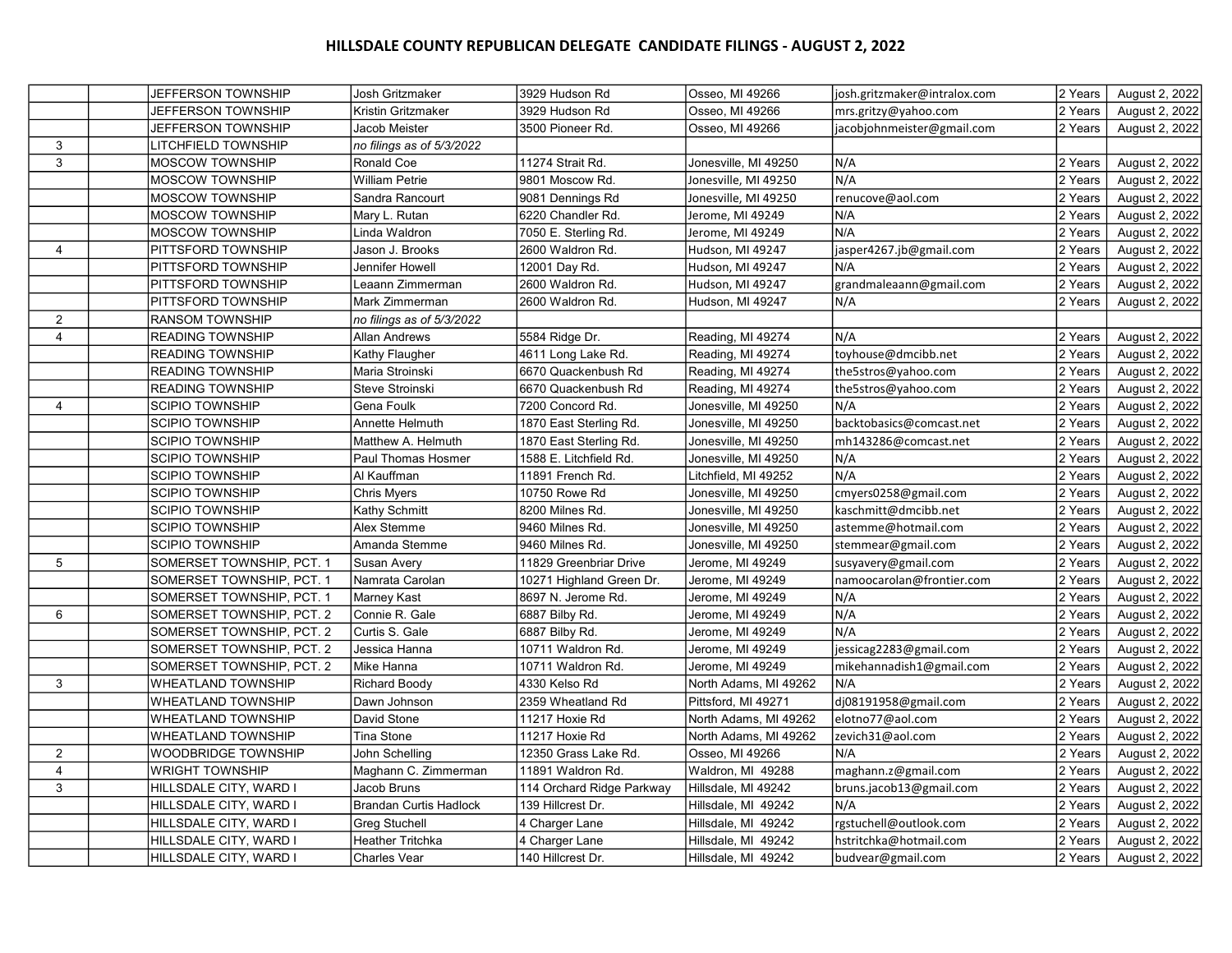## HILLSDALE COUNTY REPUBLICAN DELEGATE CANDIDATE FILINGS - AUGUST 2, 2022

|                | <b>JEFFERSON TOWNSHIP</b>  | Josh Gritzmaker               | 3929 Hudson Rd            | Osseo, MI 49266       | josh.gritzmaker@intralox.com | 2 Years | August 2, 2022 |
|----------------|----------------------------|-------------------------------|---------------------------|-----------------------|------------------------------|---------|----------------|
|                | <b>JEFFERSON TOWNSHIP</b>  | Kristin Gritzmaker            | 3929 Hudson Rd            | Osseo, MI 49266       | mrs.gritzy@yahoo.com         | 2 Years | August 2, 2022 |
|                | <b>JEFFERSON TOWNSHIP</b>  | Jacob Meister                 | 3500 Pioneer Rd.          | Osseo, MI 49266       | jacobjohnmeister@gmail.com   | 2 Years | August 2, 2022 |
| 3              | LITCHFIELD TOWNSHIP        | no filings as of 5/3/2022     |                           |                       |                              |         |                |
| 3              | <b>MOSCOW TOWNSHIP</b>     | Ronald Coe                    | 11274 Strait Rd.          | Jonesville, MI 49250  | N/A                          | 2 Years | August 2, 2022 |
|                | MOSCOW TOWNSHIP            | <b>William Petrie</b>         | 9801 Moscow Rd.           | Jonesville, MI 49250  | N/A                          | 2 Years | August 2, 2022 |
|                | <b>MOSCOW TOWNSHIP</b>     | Sandra Rancourt               | 9081 Dennings Rd          | Jonesville, MI 49250  | renucove@aol.com             | 2 Years | August 2, 2022 |
|                | MOSCOW TOWNSHIP            | Mary L. Rutan                 | 6220 Chandler Rd.         | Jerome, MI 49249      | N/A                          | 2 Years | August 2, 2022 |
|                | <b>MOSCOW TOWNSHIP</b>     | Linda Waldron                 | 7050 E. Sterling Rd.      | Jerome, MI 49249      | N/A                          | 2 Years | August 2, 2022 |
| 4              | PITTSFORD TOWNSHIP         | Jason J. Brooks               | 2600 Waldron Rd.          | Hudson, MI 49247      | jasper4267.jb@gmail.com      | 2 Years | August 2, 2022 |
|                | <b>PITTSFORD TOWNSHIP</b>  | Jennifer Howell               | 12001 Day Rd.             | Hudson, MI 49247      | N/A                          | 2 Years | August 2, 2022 |
|                | PITTSFORD TOWNSHIP         | Leaann Zimmerman              | 2600 Waldron Rd.          | Hudson, MI 49247      | grandmaleaann@gmail.com      | 2 Years | August 2, 2022 |
|                | PITTSFORD TOWNSHIP         | Mark Zimmerman                | 2600 Waldron Rd.          | Hudson, MI 49247      | N/A                          | 2 Years | August 2, 2022 |
| $\overline{2}$ | <b>RANSOM TOWNSHIP</b>     | no filings as of 5/3/2022     |                           |                       |                              |         |                |
| $\overline{4}$ | <b>READING TOWNSHIP</b>    | <b>Allan Andrews</b>          | 5584 Ridge Dr.            | Reading, MI 49274     | N/A                          | 2 Years | August 2, 2022 |
|                | <b>READING TOWNSHIP</b>    | Kathy Flaugher                | 4611 Long Lake Rd.        | Reading, MI 49274     | toyhouse@dmcibb.net          | 2 Years | August 2, 2022 |
|                | <b>READING TOWNSHIP</b>    | Maria Stroinski               | 6670 Quackenbush Rd       | Reading, MI 49274     | the5stros@yahoo.com          | 2 Years | August 2, 2022 |
|                | <b>READING TOWNSHIP</b>    | Steve Stroinski               | 6670 Quackenbush Rd       | Reading, MI 49274     | the5stros@yahoo.com          | 2 Years | August 2, 2022 |
| 4              | <b>SCIPIO TOWNSHIP</b>     | Gena Foulk                    | 7200 Concord Rd.          | Jonesville, MI 49250  | N/A                          | 2 Years | August 2, 2022 |
|                | <b>SCIPIO TOWNSHIP</b>     | Annette Helmuth               | 1870 East Sterling Rd.    | Jonesville, MI 49250  | backtobasics@comcast.net     | 2 Years | August 2, 2022 |
|                | <b>SCIPIO TOWNSHIP</b>     | Matthew A. Helmuth            | 1870 East Sterling Rd.    | Jonesville, MI 49250  | mh143286@comcast.net         | 2 Years | August 2, 2022 |
|                | <b>SCIPIO TOWNSHIP</b>     | Paul Thomas Hosmer            | 1588 E. Litchfield Rd.    | Jonesville, MI 49250  | N/A                          | 2 Years | August 2, 2022 |
|                | <b>SCIPIO TOWNSHIP</b>     | Al Kauffman                   | 11891 French Rd.          | Litchfield, MI 49252  | N/A                          | 2 Years | August 2, 2022 |
|                | <b>SCIPIO TOWNSHIP</b>     | Chris Myers                   | 10750 Rowe Rd             | Jonesville, MI 49250  | cmyers0258@gmail.com         | 2 Years | August 2, 2022 |
|                | <b>SCIPIO TOWNSHIP</b>     | Kathy Schmitt                 | 8200 Milnes Rd.           | Jonesville, MI 49250  | kaschmitt@dmcibb.net         | 2 Years | August 2, 2022 |
|                | <b>SCIPIO TOWNSHIP</b>     | Alex Stemme                   | 9460 Milnes Rd.           | Jonesville, MI 49250  | astemme@hotmail.com          | 2 Years | August 2, 2022 |
|                | <b>SCIPIO TOWNSHIP</b>     | Amanda Stemme                 | 9460 Milnes Rd.           | Jonesville, MI 49250  | stemmear@gmail.com           | 2 Years | August 2, 2022 |
| 5              | SOMERSET TOWNSHIP, PCT. 1  | <b>Susan Avery</b>            | 11829 Greenbriar Drive    | Jerome, MI 49249      | susyavery@gmail.com          | 2 Years | August 2, 2022 |
|                | SOMERSET TOWNSHIP, PCT. 1  | Namrata Carolan               | 10271 Highland Green Dr.  | Jerome, MI 49249      | namoocarolan@frontier.com    | 2 Years | August 2, 2022 |
|                | SOMERSET TOWNSHIP, PCT. 1  | Marney Kast                   | 8697 N. Jerome Rd.        | Jerome, MI 49249      | N/A                          | 2 Years | August 2, 2022 |
| 6              | SOMERSET TOWNSHIP, PCT. 2  | Connie R. Gale                | 6887 Bilby Rd.            | Jerome, MI 49249      | N/A                          | 2 Years | August 2, 2022 |
|                | SOMERSET TOWNSHIP, PCT. 2  | Curtis S. Gale                | 6887 Bilby Rd.            | Jerome, MI 49249      | N/A                          | 2 Years | August 2, 2022 |
|                | SOMERSET TOWNSHIP, PCT. 2  | Jessica Hanna                 | 10711 Waldron Rd.         | Jerome, MI 49249      | jessicag2283@gmail.com       | 2 Years | August 2, 2022 |
|                | SOMERSET TOWNSHIP, PCT. 2  | Mike Hanna                    | 10711 Waldron Rd.         | Jerome, MI 49249      | mikehannadish1@gmail.com     | 2 Years | August 2, 2022 |
| 3              | <b>WHEATLAND TOWNSHIP</b>  | <b>Richard Boody</b>          | 4330 Kelso Rd             | North Adams, MI 49262 | N/A                          | 2 Years | August 2, 2022 |
|                | <b>WHEATLAND TOWNSHIP</b>  | Dawn Johnson                  | 2359 Wheatland Rd         | Pittsford, MI 49271   | dj08191958@gmail.com         | 2 Years | August 2, 2022 |
|                | <b>WHEATLAND TOWNSHIP</b>  | David Stone                   | 11217 Hoxie Rd            | North Adams, MI 49262 | elotno77@aol.com             | 2 Years | August 2, 2022 |
|                | <b>WHEATLAND TOWNSHIP</b>  | Tina Stone                    | 11217 Hoxie Rd            | North Adams, MI 49262 | zevich31@aol.com             | 2 Years | August 2, 2022 |
| 2              | <b>WOODBRIDGE TOWNSHIP</b> | John Schelling                | 12350 Grass Lake Rd.      | Osseo, MI 49266       | N/A                          | 2 Years | August 2, 2022 |
| $\overline{4}$ | <b>WRIGHT TOWNSHIP</b>     | Maghann C. Zimmerman          | 11891 Waldron Rd.         | Waldron, MI 49288     | maghann.z@gmail.com          | 2 Years | August 2, 2022 |
| 3              | HILLSDALE CITY, WARD I     | Jacob Bruns                   | 114 Orchard Ridge Parkway | Hillsdale, MI 49242   | bruns.jacob13@gmail.com      | 2 Years | August 2, 2022 |
|                | HILLSDALE CITY, WARD I     | <b>Brandan Curtis Hadlock</b> | 139 Hillcrest Dr.         | Hillsdale, MI 49242   | N/A                          | 2 Years | August 2, 2022 |
|                | HILLSDALE CITY, WARD I     | <b>Greg Stuchell</b>          | 4 Charger Lane            | Hillsdale, MI 49242   | rgstuchell@outlook.com       | 2 Years | August 2, 2022 |
|                | HILLSDALE CITY, WARD I     | <b>Heather Tritchka</b>       | 4 Charger Lane            | Hillsdale, MI 49242   | hstritchka@hotmail.com       | 2 Years | August 2, 2022 |
|                | HILLSDALE CITY, WARD I     | <b>Charles Vear</b>           | 140 Hillcrest Dr.         | Hillsdale, MI 49242   | budvear@gmail.com            | 2 Years | August 2, 2022 |
|                |                            |                               |                           |                       |                              |         |                |